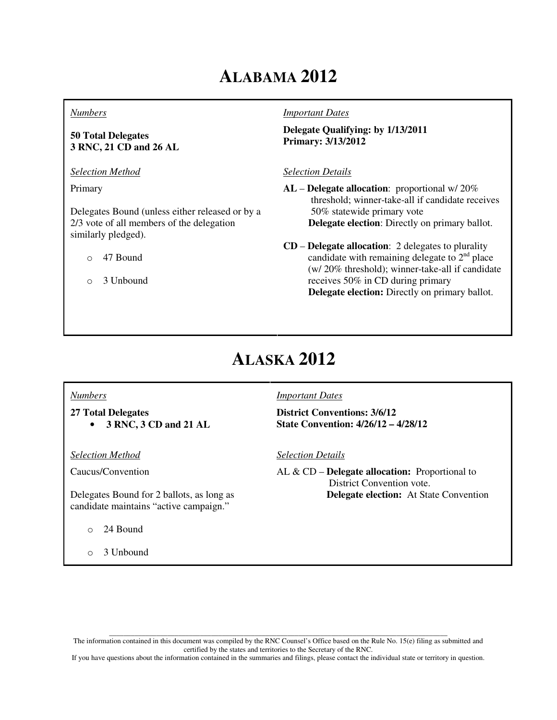# **ALABAMA 2012**

#### *Numbers*

### **50 Total Delegates 3 RNC, 21 CD and 26 AL**

*Selection Method*

Primary

Delegates Bound (unless either released or by a 2/3 vote of all members of the delegation similarly pledged).

o 47 Bound

o 3 Unbound

#### *Important Dates*

**Delegate Qualifying: by 1/13/2011 Primary: 3/13/2012**

#### *Selection Details*

**AL** – **Delegate allocation**: proportional w/ 20% threshold; winner-take-all if candidate receives 50% statewide primary vote  **Delegate election**: Directly on primary ballot.

### **CD** – **Delegate allocation**: 2 delegates to plurality candidate with remaining delegate to  $2<sup>nd</sup>$  place (w/ 20% threshold); winner-take-all if candidate receives 50% in CD during primary **Delegate election:** Directly on primary ballot.

# **ALASKA 2012**

### *Numbers*

**27 Total Delegates**  • **3 RNC, 3 CD and 21 AL**

*Selection Method*

Caucus/Convention

Delegates Bound for 2 ballots, as long as candidate maintains "active campaign."

o 24 Bound

o 3 Unbound

#### *Important Dates*

**District Conventions: 3/6/12 State Convention: 4/26/12 – 4/28/12**

#### *Selection Details*

AL & CD – **Delegate allocation:** Proportional to District Convention vote.  **Delegate election:** At State Convention

\_\_\_\_\_\_\_\_\_\_\_\_\_\_\_\_\_\_\_\_\_\_\_\_\_\_\_\_\_\_\_\_\_\_\_\_\_\_\_\_\_\_\_\_\_\_\_\_\_\_\_\_\_\_\_\_\_\_\_\_\_\_\_\_\_\_\_\_\_\_\_\_\_\_\_\_\_\_\_\_\_\_\_\_\_\_\_\_\_\_\_\_\_ The information contained in this document was compiled by the RNC Counsel's Office based on the Rule No. 15(e) filing as submitted and certified by the states and territories to the Secretary of the RNC.

If you have questions about the information contained in the summaries and filings, please contact the individual state or territory in question.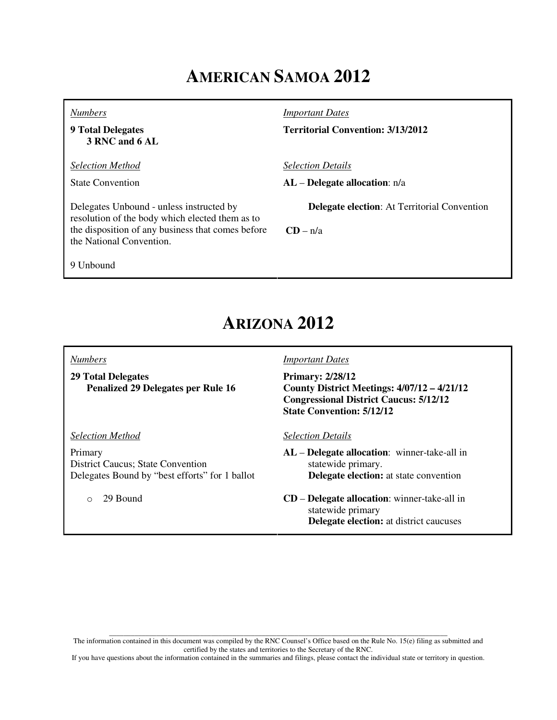# **AMERICAN SAMOA 2012**

*Numbers*

**9 Total Delegates 3 RNC and 6 AL**

*Selection Method*

State Convention

Delegates Unbound - unless instructed by resolution of the body which elected them as to the disposition of any business that comes before the National Convention.

*Important Dates*

**Territorial Convention: 3/13/2012**

*Selection Details*

**AL** – **Delegate allocation**: n/a

**Delegate election**: At Territorial Convention

 $CD - n/a$ 

9 Unbound

## **ARIZONA 2012**

### *Numbers*

**29 Total Delegates Penalized 29 Delegates per Rule 16** 

*Selection Method*

Primary District Caucus; State Convention Delegates Bound by "best efforts" for 1 ballot

o 29 Bound

#### *Important Dates*

**Primary: 2/28/12 County District Meetings: 4/07/12 – 4/21/12 Congressional District Caucus: 5/12/12 State Convention: 5/12/12**

#### *Selection Details*

**AL** – **Delegate allocation**: winner-take-all in statewide primary.  **Delegate election:** at state convention

**CD** – **Delegate allocation**: winner-take-all in statewide primary **Delegate election:** at district caucuses

\_\_\_\_\_\_\_\_\_\_\_\_\_\_\_\_\_\_\_\_\_\_\_\_\_\_\_\_\_\_\_\_\_\_\_\_\_\_\_\_\_\_\_\_\_\_\_\_\_\_\_\_\_\_\_\_\_\_\_\_\_\_\_\_\_\_\_\_\_\_\_\_\_\_\_\_\_\_\_\_\_\_\_\_\_\_\_\_\_\_\_\_\_ The information contained in this document was compiled by the RNC Counsel's Office based on the Rule No. 15(e) filing as submitted and certified by the states and territories to the Secretary of the RNC.

If you have questions about the information contained in the summaries and filings, please contact the individual state or territory in question.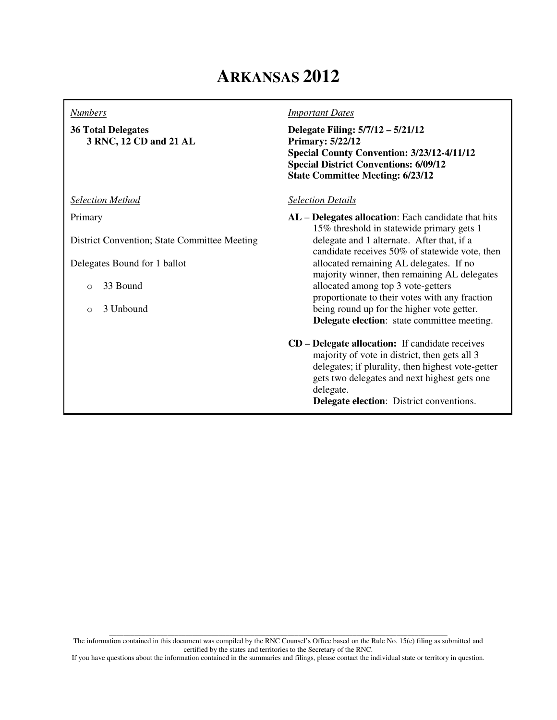## **ARKANSAS 2012**

#### *Numbers*

**36 Total Delegates 3 RNC, 12 CD and 21 AL**

*Selection Method*

Primary

District Convention; State Committee Meeting

Delegates Bound for 1 ballot

- o 33 Bound
- o 3 Unbound

*Important Dates*

**Delegate Filing: 5/7/12 – 5/21/12 Primary: 5/22/12 Special County Convention: 3/23/12-4/11/12 Special District Conventions: 6/09/12 State Committee Meeting: 6/23/12**

### *Selection Details*

**AL** – **Delegates allocation**: Each candidate that hits 15% threshold in statewide primary gets 1 delegate and 1 alternate. After that, if a candidate receives 50% of statewide vote, then allocated remaining AL delegates. If no majority winner, then remaining AL delegates allocated among top 3 vote-getters proportionate to their votes with any fraction being round up for the higher vote getter. **Delegate election**: state committee meeting.

**CD** – **Delegate allocation:** If candidate receives majority of vote in district, then gets all 3 delegates; if plurality, then highest vote-getter gets two delegates and next highest gets one delegate.

 **Delegate election**: District conventions.

\_\_\_\_\_\_\_\_\_\_\_\_\_\_\_\_\_\_\_\_\_\_\_\_\_\_\_\_\_\_\_\_\_\_\_\_\_\_\_\_\_\_\_\_\_\_\_\_\_\_\_\_\_\_\_\_\_\_\_\_\_\_\_\_\_\_\_\_\_\_\_\_\_\_\_\_\_\_\_\_\_\_\_\_\_\_\_\_\_\_\_\_\_ The information contained in this document was compiled by the RNC Counsel's Office based on the Rule No. 15(e) filing as submitted and certified by the states and territories to the Secretary of the RNC.

If you have questions about the information contained in the summaries and filings, please contact the individual state or territory in question.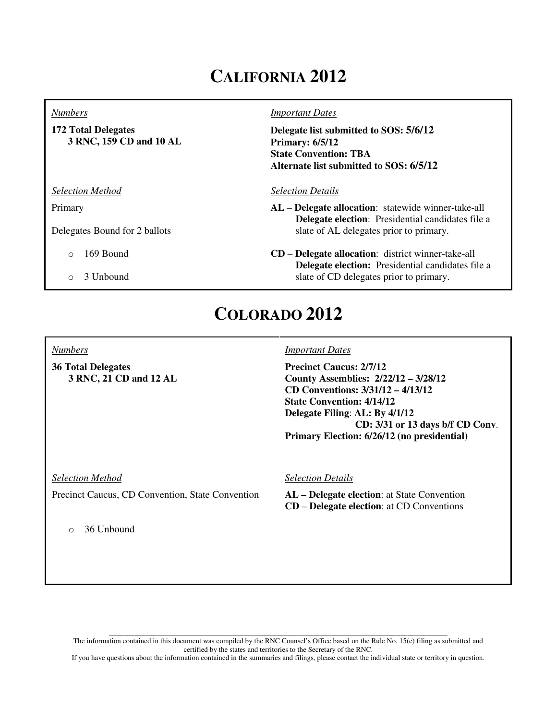# **CALIFORNIA 2012**

#### *Numbers*

**172 Total Delegates 3 RNC, 159 CD and 10 AL**

*Selection Method*

Primary

Delegates Bound for 2 ballots

- o 169 Bound
- o 3 Unbound

#### *Important Dates*

**Delegate list submitted to SOS: 5/6/12 Primary: 6/5/12 State Convention: TBA Alternate list submitted to SOS: 6/5/12**

#### *Selection Details*

- **AL Delegate allocation**: statewide winner-take-all **Delegate election**: Presidential candidates file a slate of AL delegates prior to primary.
- **CD Delegate allocation**: district winner-take-all **Delegate election:** Presidential candidates file a slate of CD delegates prior to primary.

### **COLORADO 2012**

#### *Numbers*

**36 Total Delegates 3 RNC, 21 CD and 12 AL**

### *Important Dates*

**Precinct Caucus: 2/7/12 County Assemblies: 2/22/12 – 3/28/12 CD Conventions: 3/31/12 – 4/13/12 State Convention: 4/14/12 Delegate Filing**: **AL: By 4/1/12 CD: 3/31 or 13 days b/f CD Conv**. **Primary Election: 6/26/12 (no presidential)**

*Selection Method*

Precinct Caucus, CD Convention, State Convention

o 36 Unbound

#### *Selection Details*

**AL – Delegate election**: at State Convention **CD** – **Delegate election**: at CD Conventions

\_\_\_\_\_\_\_\_\_\_\_\_\_\_\_\_\_\_\_\_\_\_\_\_\_\_\_\_\_\_\_\_\_\_\_\_\_\_\_\_\_\_\_\_\_\_\_\_\_\_\_\_\_\_\_\_\_\_\_\_\_\_\_\_\_\_\_\_\_\_\_\_\_\_\_\_\_\_\_\_\_\_\_\_\_\_\_\_\_\_\_\_\_ The information contained in this document was compiled by the RNC Counsel's Office based on the Rule No. 15(e) filing as submitted and certified by the states and territories to the Secretary of the RNC.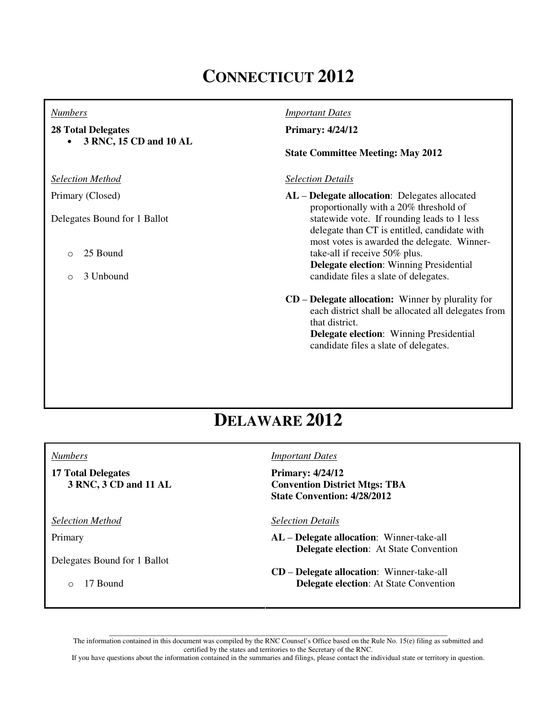# **CONNECTICUT 2012**

### *Numbers*

### **28 Total Delegates**

• **3 RNC, 15 CD and 10 AL** 

*Selection Method*

Primary (Closed)

Delegates Bound for 1 Ballot

- o 25 Bound
- o 3 Unbound

### *Important Dates*

### **Primary: 4/24/12**

#### **State Committee Meeting: May 2012**

#### *Selection Details*

**AL** – **Delegate allocation**: Delegates allocated proportionally with a 20% threshold of statewide vote. If rounding leads to 1 less delegate than CT is entitled, candidate with most votes is awarded the delegate. Winnertake-all if receive 50% plus.  **Delegate election**: Winning Presidential candidate files a slate of delegates.

**CD** – **Delegate allocation:** Winner by plurality for each district shall be allocated all delegates from that district.  **Delegate election**: Winning Presidential candidate files a slate of delegates.

## **DELAWARE 2012**

#### *Numbers*

**17 Total Delegates 3 RNC, 3 CD and 11 AL**

*Selection Method*

Primary

Delegates Bound for 1 Ballot

o 17 Bound

#### *Important Dates*

**Primary: 4/24/12 Convention District Mtgs: TBA State Convention: 4/28/2012**

*Selection Details*

- **AL Delegate allocation**: Winner-take-all  **Delegate election**: At State Convention
- **CD Delegate allocation**: Winner-take-all  **Delegate election**: At State Convention

\_\_\_\_\_\_\_\_\_\_\_\_\_\_\_\_\_\_\_\_\_\_\_\_\_\_\_\_\_\_\_\_\_\_\_\_\_\_\_\_\_\_\_\_\_\_\_\_\_\_\_\_\_\_\_\_\_\_\_\_\_\_\_\_\_\_\_\_\_\_\_\_\_\_\_\_\_\_\_\_\_\_\_\_\_\_\_\_\_\_\_\_\_ The information contained in this document was compiled by the RNC Counsel's Office based on the Rule No. 15(e) filing as submitted and certified by the states and territories to the Secretary of the RNC.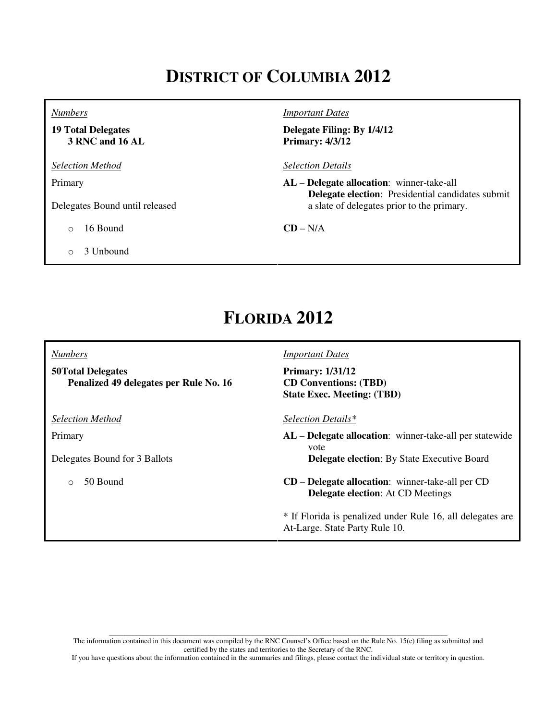# **DISTRICT OF COLUMBIA 2012**

*Numbers*

**19 Total Delegates 3 RNC and 16 AL**

*Selection Method*

Primary

Delegates Bound until released

o 16 Bound

o 3 Unbound

*Important Dates*

**Delegate Filing: By 1/4/12 Primary: 4/3/12**

*Selection Details*

**AL** – **Delegate allocation**: winner-take-all  **Delegate election**: Presidential candidates submit a slate of delegates prior to the primary.

**CD** – N/A

## **FLORIDA 2012**

*Numbers*

**50Total Delegates Penalized 49 delegates per Rule No. 16**

*Selection Method*

Primary

Delegates Bound for 3 Ballots

o 50 Bound

#### *Important Dates*

**Primary: 1/31/12 CD Conventions: (TBD) State Exec. Meeting: (TBD)**

*Selection Details\**

**AL** – **Delegate allocation**: winner-take-all per statewide vote  **Delegate election**: By State Executive Board

**CD** – **Delegate allocation**: winner-take-all per CD **Delegate election**: At CD Meetings

\* If Florida is penalized under Rule 16, all delegates are At-Large. State Party Rule 10.

\_\_\_\_\_\_\_\_\_\_\_\_\_\_\_\_\_\_\_\_\_\_\_\_\_\_\_\_\_\_\_\_\_\_\_\_\_\_\_\_\_\_\_\_\_\_\_\_\_\_\_\_\_\_\_\_\_\_\_\_\_\_\_\_\_\_\_\_\_\_\_\_\_\_\_\_\_\_\_\_\_\_\_\_\_\_\_\_\_\_\_\_\_ The information contained in this document was compiled by the RNC Counsel's Office based on the Rule No. 15(e) filing as submitted and certified by the states and territories to the Secretary of the RNC.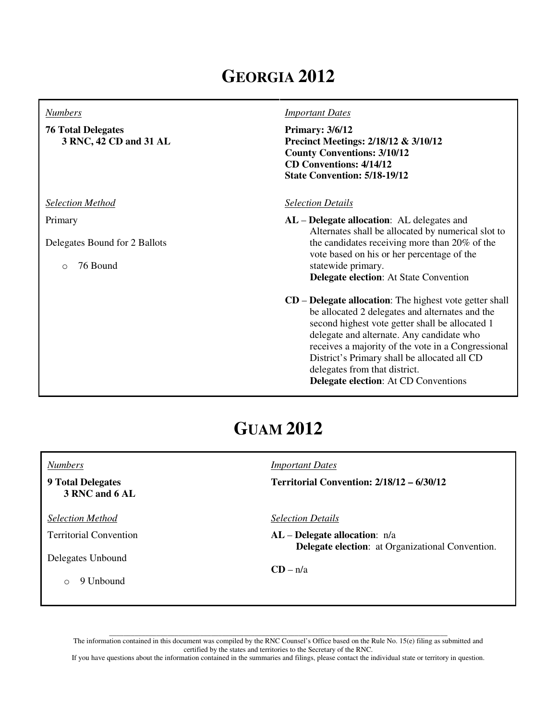# **GEORGIA 2012**

#### *Numbers*

### **76 Total Delegates 3 RNC, 42 CD and 31 AL**

*Selection Method*

Primary

Delegates Bound for 2 Ballots

o 76 Bound

#### *Important Dates*

**Primary: 3/6/12 Precinct Meetings: 2/18/12 & 3/10/12 County Conventions: 3/10/12 CD Conventions: 4/14/12 State Convention: 5/18-19/12**

#### *Selection Details*

**AL** – **Delegate allocation**: AL delegates and Alternates shall be allocated by numerical slot to the candidates receiving more than 20% of the vote based on his or her percentage of the statewide primary.  **Delegate election**: At State Convention

**CD** – **Delegate allocation**: The highest vote getter shall be allocated 2 delegates and alternates and the second highest vote getter shall be allocated 1 delegate and alternate. Any candidate who receives a majority of the vote in a Congressional District's Primary shall be allocated all CD delegates from that district.  **Delegate election**: At CD Conventions

## **GUAM 2012**

| <i>Numbers</i>                             | <i>Important Dates</i>                                                                       |
|--------------------------------------------|----------------------------------------------------------------------------------------------|
| <b>9 Total Delegates</b><br>3 RNC and 6 AL | Territorial Convention: $2/18/12 - 6/30/12$                                                  |
| <b>Selection Method</b>                    | <b>Selection Details</b>                                                                     |
| <b>Territorial Convention</b>              | $AL$ – Delegate allocation: $n/a$<br><b>Delegate election:</b> at Organizational Convention. |
| Delegates Unbound                          |                                                                                              |
| 9 Unbound<br>$\bigcirc$                    | $CD - n/a$                                                                                   |

\_\_\_\_\_\_\_\_\_\_\_\_\_\_\_\_\_\_\_\_\_\_\_\_\_\_\_\_\_\_\_\_\_\_\_\_\_\_\_\_\_\_\_\_\_\_\_\_\_\_\_\_\_\_\_\_\_\_\_\_\_\_\_\_\_\_\_\_\_\_\_\_\_\_\_\_\_\_\_\_\_\_\_\_\_\_\_\_\_\_\_\_\_ The information contained in this document was compiled by the RNC Counsel's Office based on the Rule No. 15(e) filing as submitted and certified by the states and territories to the Secretary of the RNC.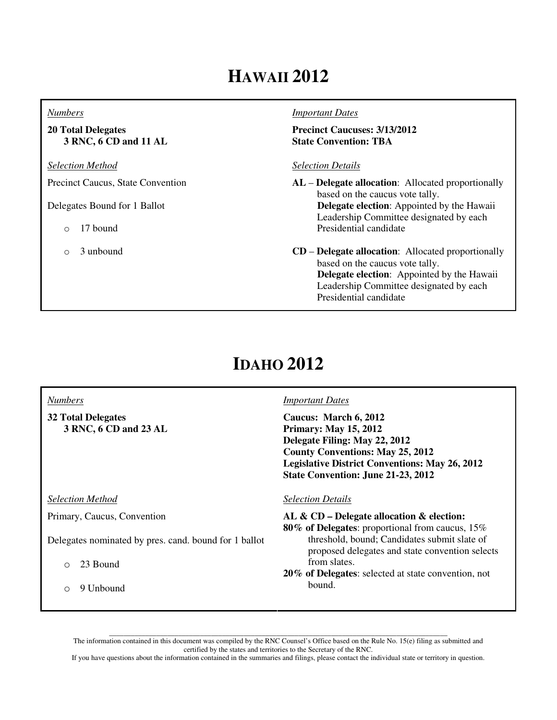# **HAWAII 2012**

### *Numbers*

**20 Total Delegates 3 RNC, 6 CD and 11 AL**

*Selection Method*

Precinct Caucus, State Convention

Delegates Bound for 1 Ballot

o 17 bound

o 3 unbound

#### *Important Dates*

**Precinct Caucuses: 3/13/2012 State Convention: TBA** 

### *Selection Details*

- **AL Delegate allocation**: Allocated proportionally based on the caucus vote tally.  **Delegate election**: Appointed by the Hawaii Leadership Committee designated by each Presidential candidate
- **CD Delegate allocation**: Allocated proportionally based on the caucus vote tally.  **Delegate election**: Appointed by the Hawaii Leadership Committee designated by each Presidential candidate

# **IDAHO 2012**

| <b>Numbers</b>                                        | <b>Important Dates</b>                                                                                                                                                                                                           |
|-------------------------------------------------------|----------------------------------------------------------------------------------------------------------------------------------------------------------------------------------------------------------------------------------|
| <b>32 Total Delegates</b><br>3 RNC, 6 CD and 23 AL    | Caucus: March 6, 2012<br><b>Primary: May 15, 2012</b><br>Delegate Filing: May 22, 2012<br><b>County Conventions: May 25, 2012</b><br><b>Legislative District Conventions: May 26, 2012</b><br>State Convention: June 21-23, 2012 |
| <b>Selection Method</b>                               | <b>Selection Details</b>                                                                                                                                                                                                         |
| Primary, Caucus, Convention                           | AL & CD - Delegate allocation & election:<br><b>80% of Delegates:</b> proportional from caucus, 15%                                                                                                                              |
| Delegates nominated by pres. cand. bound for 1 ballot | threshold, bound; Candidates submit slate of<br>proposed delegates and state convention selects                                                                                                                                  |
| 23 Bound<br>$\bigcirc$                                | from slates.                                                                                                                                                                                                                     |
| 9 Unbound<br>$\bigcirc$                               | 20% of Delegates: selected at state convention, not<br>bound.                                                                                                                                                                    |

\_\_\_\_\_\_\_\_\_\_\_\_\_\_\_\_\_\_\_\_\_\_\_\_\_\_\_\_\_\_\_\_\_\_\_\_\_\_\_\_\_\_\_\_\_\_\_\_\_\_\_\_\_\_\_\_\_\_\_\_\_\_\_\_\_\_\_\_\_\_\_\_\_\_\_\_\_\_\_\_\_\_\_\_\_\_\_\_\_\_\_\_\_ The information contained in this document was compiled by the RNC Counsel's Office based on the Rule No. 15(e) filing as submitted and certified by the states and territories to the Secretary of the RNC.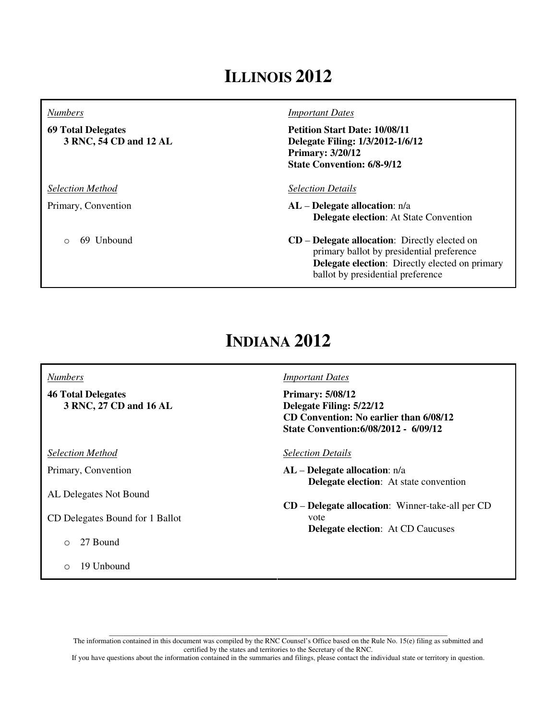## **ILLINOIS 2012**

#### *Numbers*

**69 Total Delegates 3 RNC, 54 CD and 12 AL**

*Selection Method*

Primary, Convention

o 69 Unbound

#### *Important Dates*

**Petition Start Date: 10/08/11 Delegate Filing: 1/3/2012-1/6/12 Primary: 3/20/12 State Convention: 6/8-9/12**

#### *Selection Details*

**AL** – **Delegate allocation**: n/a  **Delegate election**: At State Convention

**CD** – **Delegate allocation**: Directly elected on primary ballot by presidential preference  **Delegate election**: Directly elected on primary ballot by presidential preference

## **INDIANA 2012**

#### *Numbers*

**46 Total Delegates 3 RNC, 27 CD and 16 AL**

*Selection Method*

Primary, Convention

AL Delegates Not Bound

CD Delegates Bound for 1 Ballot

o 27 Bound

o 19 Unbound

#### *Important Dates*

**Primary: 5/08/12 Delegate Filing: 5/22/12 CD Convention: No earlier than 6/08/12 State Convention:6/08/2012 - 6/09/12**

*Selection Details*

- **AL Delegate allocation**: n/a  **Delegate election**: At state convention
- **CD Delegate allocation**: Winner-take-all per CD vote  **Delegate election**: At CD Caucuses

\_\_\_\_\_\_\_\_\_\_\_\_\_\_\_\_\_\_\_\_\_\_\_\_\_\_\_\_\_\_\_\_\_\_\_\_\_\_\_\_\_\_\_\_\_\_\_\_\_\_\_\_\_\_\_\_\_\_\_\_\_\_\_\_\_\_\_\_\_\_\_\_\_\_\_\_\_\_\_\_\_\_\_\_\_\_\_\_\_\_\_\_\_ The information contained in this document was compiled by the RNC Counsel's Office based on the Rule No. 15(e) filing as submitted and certified by the states and territories to the Secretary of the RNC.

If you have questions about the information contained in the summaries and filings, please contact the individual state or territory in question.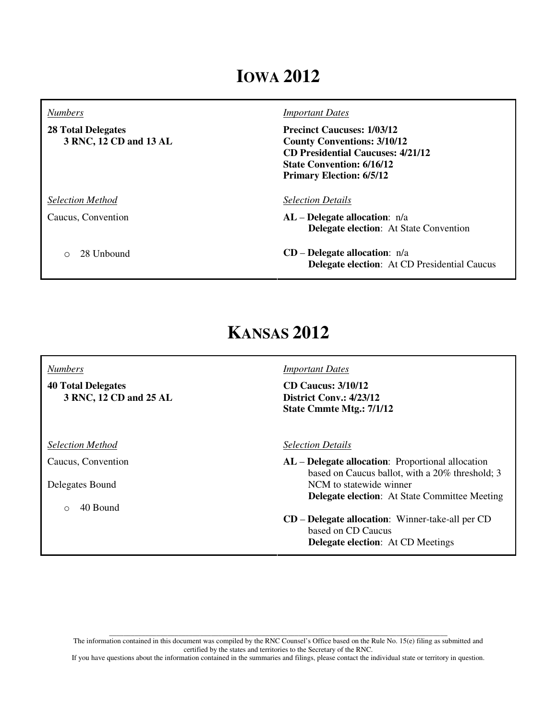## **IOWA 2012**

| <b>Numbers</b>                                      | <b>Important Dates</b>                                                                                                                                                                     |
|-----------------------------------------------------|--------------------------------------------------------------------------------------------------------------------------------------------------------------------------------------------|
| <b>28 Total Delegates</b><br>3 RNC, 12 CD and 13 AL | <b>Precinct Caucuses: 1/03/12</b><br><b>County Conventions: 3/10/12</b><br><b>CD Presidential Caucuses: 4/21/12</b><br><b>State Convention: 6/16/12</b><br><b>Primary Election: 6/5/12</b> |
| <b>Selection Method</b>                             | <b>Selection Details</b>                                                                                                                                                                   |
| Caucus, Convention                                  | $AL$ – Delegate allocation: $n/a$<br><b>Delegate election:</b> At State Convention                                                                                                         |
| 28 Unbound<br>∩                                     | $CD$ – Delegate allocation: $n/a$<br><b>Delegate election:</b> At CD Presidential Caucus                                                                                                   |

# **KANSAS 2012**

**40 Total Delegates 3 RNC, 12 CD and 25 AL**

*Selection Method*

*Numbers*

Caucus, Convention

Delegates Bound

o 40 Bound

*Important Dates*

**CD Caucus: 3/10/12 District Conv.: 4/23/12 State Cmmte Mtg.: 7/1/12**

*Selection Details*

**AL** – **Delegate allocation**: Proportional allocation based on Caucus ballot, with a 20% threshold; 3 NCM to statewide winner **Delegate election**: At State Committee Meeting

**CD** – **Delegate allocation**: Winner-take-all per CD based on CD Caucus  **Delegate election**: At CD Meetings

\_\_\_\_\_\_\_\_\_\_\_\_\_\_\_\_\_\_\_\_\_\_\_\_\_\_\_\_\_\_\_\_\_\_\_\_\_\_\_\_\_\_\_\_\_\_\_\_\_\_\_\_\_\_\_\_\_\_\_\_\_\_\_\_\_\_\_\_\_\_\_\_\_\_\_\_\_\_\_\_\_\_\_\_\_\_\_\_\_\_\_\_\_ The information contained in this document was compiled by the RNC Counsel's Office based on the Rule No. 15(e) filing as submitted and certified by the states and territories to the Secretary of the RNC.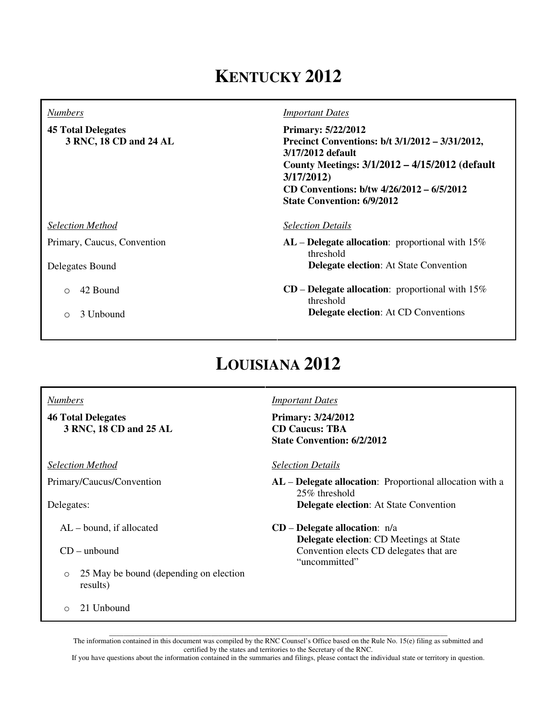# **KENTUCKY 2012**

| <b>Numbers</b>                                      | <b>Important Dates</b>                                                                                                                                                                                                                             |
|-----------------------------------------------------|----------------------------------------------------------------------------------------------------------------------------------------------------------------------------------------------------------------------------------------------------|
| <b>45 Total Delegates</b><br>3 RNC, 18 CD and 24 AL | <b>Primary: 5/22/2012</b><br>Precinct Conventions: b/t 3/1/2012 – 3/31/2012,<br>3/17/2012 default<br>County Meetings: 3/1/2012 – 4/15/2012 (default<br>3/17/2012<br>CD Conventions: b/tw 4/26/2012 – 6/5/2012<br><b>State Convention: 6/9/2012</b> |
| <b>Selection Method</b>                             | <b>Selection Details</b>                                                                                                                                                                                                                           |
| Primary, Caucus, Convention                         | $AL$ – Delegate allocation: proportional with 15%<br>threshold                                                                                                                                                                                     |
| Delegates Bound                                     | <b>Delegate election:</b> At State Convention                                                                                                                                                                                                      |
| 42 Bound<br>$\bigcirc$                              | $CD$ – Delegate allocation: proportional with 15%<br>threshold                                                                                                                                                                                     |
| 3 Unbound<br>Ω                                      | <b>Delegate election:</b> At CD Conventions                                                                                                                                                                                                        |

# **LOUISIANA 2012**

### *Numbers*

**46 Total Delegates 3 RNC, 18 CD and 25 AL**

*Selection Method*

Primary/Caucus/Convention

Delegates:

AL – bound, if allocated

CD – unbound

o 25 May be bound (depending on election results)

o 21 Unbound

*Important Dates*

**Primary: 3/24/2012 CD Caucus: TBA State Convention: 6/2/2012** 

*Selection Details*

**AL** – **Delegate allocation**: Proportional allocation with a 25% threshold  **Delegate election**: At State Convention

**CD** – **Delegate allocation**: n/a  **Delegate election**: CD Meetings at State Convention elects CD delegates that are "uncommitted"

\_\_\_\_\_\_\_\_\_\_\_\_\_\_\_\_\_\_\_\_\_\_\_\_\_\_\_\_\_\_\_\_\_\_\_\_\_\_\_\_\_\_\_\_\_\_\_\_\_\_\_\_\_\_\_\_\_\_\_\_\_\_\_\_\_\_\_\_\_\_\_\_\_\_\_\_\_\_\_\_\_\_\_\_\_\_\_\_\_\_\_\_\_ The information contained in this document was compiled by the RNC Counsel's Office based on the Rule No. 15(e) filing as submitted and certified by the states and territories to the Secretary of the RNC.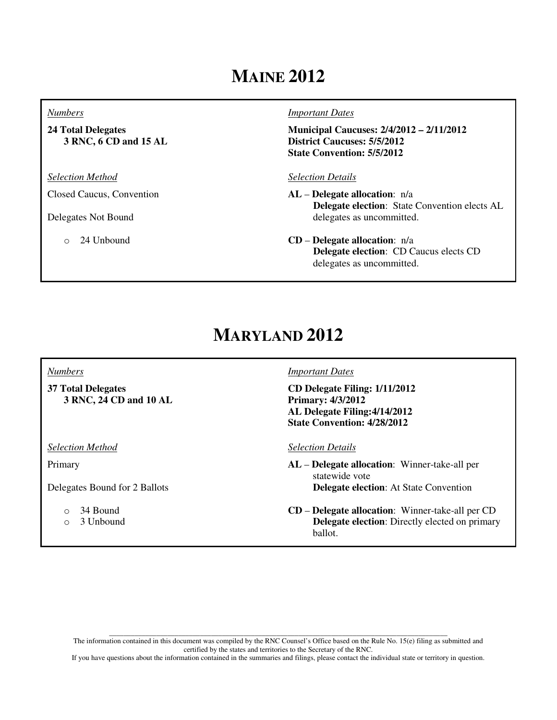# **MAINE 2012**

#### *Numbers*

**24 Total Delegates 3 RNC, 6 CD and 15 AL**

*Selection Method*

Closed Caucus, Convention

Delegates Not Bound

o 24 Unbound

#### *Important Dates*

**Municipal Caucuses: 2/4/2012 – 2/11/2012 District Caucuses: 5/5/2012 State Convention: 5/5/2012**

### *Selection Details*

- **AL Delegate allocation**: n/a  **Delegate election**: State Convention elects AL delegates as uncommitted.
- **CD Delegate allocation**: n/a  **Delegate election**: CD Caucus elects CD delegates as uncommitted.

## **MARYLAND 2012**

#### *Numbers*

**37 Total Delegates 3 RNC, 24 CD and 10 AL**

*Selection Method*

Primary

Delegates Bound for 2 Ballots

- o 34 Bound
- o 3 Unbound

### *Important Dates*

**CD Delegate Filing: 1/11/2012 Primary: 4/3/2012 AL Delegate Filing:4/14/2012 State Convention: 4/28/2012**

#### *Selection Details*

**AL** – **Delegate allocation**: Winner-take-all per statewide vote  **Delegate election**: At State Convention

**CD** – **Delegate allocation**: Winner-take-all per CD  **Delegate election**: Directly elected on primary ballot.

\_\_\_\_\_\_\_\_\_\_\_\_\_\_\_\_\_\_\_\_\_\_\_\_\_\_\_\_\_\_\_\_\_\_\_\_\_\_\_\_\_\_\_\_\_\_\_\_\_\_\_\_\_\_\_\_\_\_\_\_\_\_\_\_\_\_\_\_\_\_\_\_\_\_\_\_\_\_\_\_\_\_\_\_\_\_\_\_\_\_\_\_\_ The information contained in this document was compiled by the RNC Counsel's Office based on the Rule No. 15(e) filing as submitted and certified by the states and territories to the Secretary of the RNC.

If you have questions about the information contained in the summaries and filings, please contact the individual state or territory in question.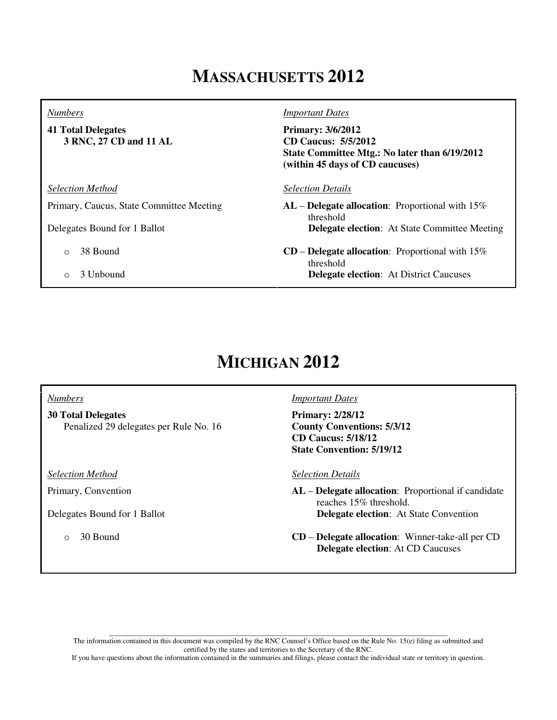## **MASSACHUSETTS 2012**

#### *Numbers*

**41 Total Delegates 3 RNC, 27 CD and 11 AL**

*Selection Method*

Primary, Caucus, State Committee Meeting

Delegates Bound for 1 Ballot

- o 38 Bound
- o 3 Unbound

*Important Dates*

**Primary: 3/6/2012 CD Caucus: 5/5/2012 State Committee Mtg.: No later than 6/19/2012 (within 45 days of CD caucuses)** 

*Selection Details*

**AL** – **Delegate allocation**: Proportional with 15% threshold  **Delegate election**: At State Committee Meeting

**CD** – **Delegate allocation**: Proportional with 15% threshold  **Delegate election**: At District Caucuses

# **MICHIGAN 2012**

### *Numbers*

**30 Total Delegates**  Penalized 29 delegates per Rule No. 16

*Selection Method*

Primary, Convention

Delegates Bound for 1 Ballot

o 30 Bound

#### *Important Dates*

**Primary: 2/28/12 County Conventions: 5/3/12 CD Caucus: 5/18/12 State Convention: 5/19/12**

*Selection Details*

**AL** – **Delegate allocation**: Proportional if candidate reaches 15% threshold.  **Delegate election**: At State Convention

**CD** – **Delegate allocation**: Winner-take-all per CD  **Delegate election**: At CD Caucuses

\_\_\_\_\_\_\_\_\_\_\_\_\_\_\_\_\_\_\_\_\_\_\_\_\_\_\_\_\_\_\_\_\_\_\_\_\_\_\_\_\_\_\_\_\_\_\_\_\_\_\_\_\_\_\_\_\_\_\_\_\_\_\_\_\_\_\_\_\_\_\_\_\_\_\_\_\_\_\_\_\_\_\_\_\_\_\_\_\_\_\_\_\_ The information contained in this document was compiled by the RNC Counsel's Office based on the Rule No. 15(e) filing as submitted and certified by the states and territories to the Secretary of the RNC.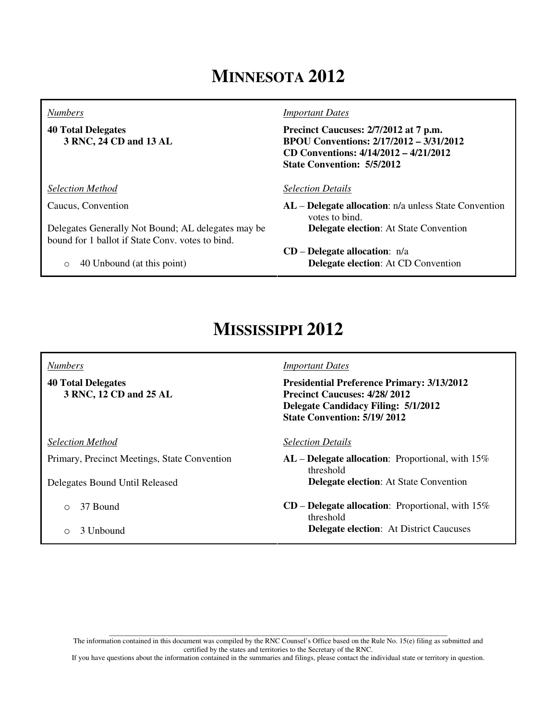# **MINNESOTA 2012**

#### *Numbers*

**40 Total Delegates 3 RNC, 24 CD and 13 AL**

*Selection Method*

Caucus, Convention

Delegates Generally Not Bound; AL delegates may be bound for 1 ballot if State Conv. votes to bind.

o 40 Unbound (at this point)

*Important Dates*

**Precinct Caucuses: 2/7/2012 at 7 p.m. BPOU Conventions: 2/17/2012 – 3/31/2012 CD Conventions: 4/14/2012 – 4/21/2012 State Convention: 5/5/2012**

#### *Selection Details*

**CD** – **Delegate allocation**: n/a

**AL** – **Delegate allocation**: n/a unless State Convention votes to bind.  **Delegate election**: At State Convention

 **Delegate election**: At CD Convention

# **MISSISSIPPI 2012**

*Numbers*

**40 Total Delegates 3 RNC, 12 CD and 25 AL**

*Selection Method*

Primary, Precinct Meetings, State Convention

Delegates Bound Until Released

- o 37 Bound
- o 3 Unbound

#### *Important Dates*

**Presidential Preference Primary: 3/13/2012 Precinct Caucuses: 4/28/ 2012 Delegate Candidacy Filing: 5/1/2012 State Convention: 5/19/ 2012** 

*Selection Details*

**AL** – **Delegate allocation**: Proportional, with 15% threshold  **Delegate election**: At State Convention

**CD** – **Delegate allocation**: Proportional, with 15% threshold  **Delegate election**: At District Caucuses

\_\_\_\_\_\_\_\_\_\_\_\_\_\_\_\_\_\_\_\_\_\_\_\_\_\_\_\_\_\_\_\_\_\_\_\_\_\_\_\_\_\_\_\_\_\_\_\_\_\_\_\_\_\_\_\_\_\_\_\_\_\_\_\_\_\_\_\_\_\_\_\_\_\_\_\_\_\_\_\_\_\_\_\_\_\_\_\_\_\_\_\_\_ The information contained in this document was compiled by the RNC Counsel's Office based on the Rule No. 15(e) filing as submitted and certified by the states and territories to the Secretary of the RNC.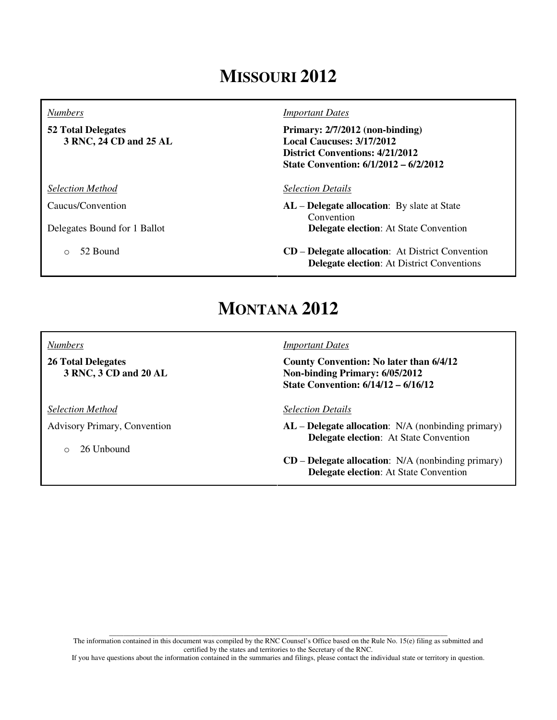# **MISSOURI 2012**

#### *Numbers*

**52 Total Delegates 3 RNC, 24 CD and 25 AL**

*Selection Method*

Caucus/Convention

Delegates Bound for 1 Ballot

o 52 Bound

#### *Important Dates*

**Primary: 2/7/2012 (non-binding) Local Caucuses: 3/17/2012 District Conventions: 4/21/2012 State Convention: 6/1/2012 – 6/2/2012** 

#### *Selection Details*

**AL** – **Delegate allocation**: By slate at State Convention  **Delegate election**: At State Convention

**CD** – **Delegate allocation**: At District Convention  **Delegate election**: At District Conventions

## **MONTANA 2012**

*Numbers*

**26 Total Delegates 3 RNC, 3 CD and 20 AL**

*Selection Method*

Advisory Primary, Convention

o 26 Unbound

#### *Important Dates*

**County Convention: No later than 6/4/12 Non-binding Primary: 6/05/2012 State Convention: 6/14/12 – 6/16/12**

*Selection Details*

**AL** – **Delegate allocation**: N/A (nonbinding primary)  **Delegate election**: At State Convention

**CD** – **Delegate allocation**: N/A (nonbinding primary)  **Delegate election**: At State Convention

\_\_\_\_\_\_\_\_\_\_\_\_\_\_\_\_\_\_\_\_\_\_\_\_\_\_\_\_\_\_\_\_\_\_\_\_\_\_\_\_\_\_\_\_\_\_\_\_\_\_\_\_\_\_\_\_\_\_\_\_\_\_\_\_\_\_\_\_\_\_\_\_\_\_\_\_\_\_\_\_\_\_\_\_\_\_\_\_\_\_\_\_\_ The information contained in this document was compiled by the RNC Counsel's Office based on the Rule No. 15(e) filing as submitted and certified by the states and territories to the Secretary of the RNC.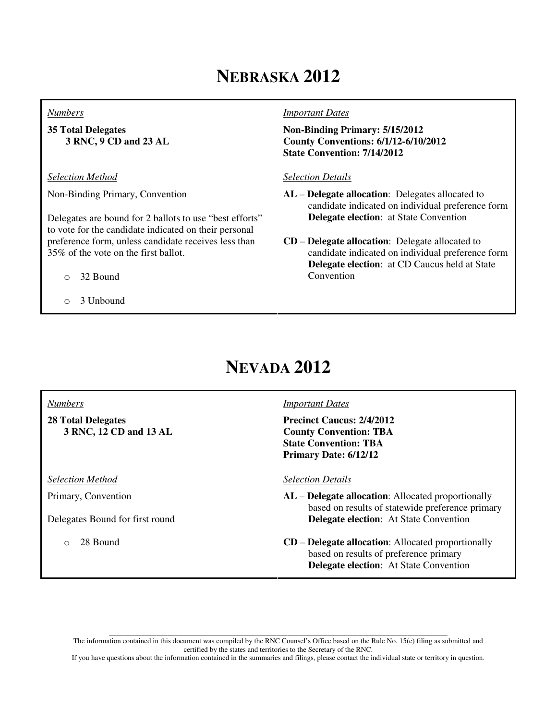# **NEBRASKA 2012**

#### *Numbers*

**35 Total Delegates 3 RNC, 9 CD and 23 AL**

*Selection Method*

Non-Binding Primary, Convention

Delegates are bound for 2 ballots to use "best efforts" to vote for the candidate indicated on their personal preference form, unless candidate receives less than 35% of the vote on the first ballot.

- o 32 Bound
- o 3 Unbound

#### *Important Dates*

**Non-Binding Primary: 5/15/2012 County Conventions: 6/1/12-6/10/2012 State Convention: 7/14/2012**

### *Selection Details*

- **AL Delegate allocation**: Delegates allocated to candidate indicated on individual preference form  **Delegate election**: at State Convention
- **CD Delegate allocation**: Delegate allocated to candidate indicated on individual preference form  **Delegate election**: at CD Caucus held at State Convention

## **NEVADA 2012**

#### *Numbers*

**28 Total Delegates 3 RNC, 12 CD and 13 AL**

*Selection Method*

Primary, Convention

Delegates Bound for first round

o 28 Bound

### *Important Dates*

**Precinct Caucus: 2/4/2012 County Convention: TBA State Convention: TBA Primary Date: 6/12/12**

### *Selection Details*

- **AL Delegate allocation**: Allocated proportionally based on results of statewide preference primary  **Delegate election**: At State Convention
- **CD Delegate allocation**: Allocated proportionally based on results of preference primary  **Delegate election**: At State Convention

\_\_\_\_\_\_\_\_\_\_\_\_\_\_\_\_\_\_\_\_\_\_\_\_\_\_\_\_\_\_\_\_\_\_\_\_\_\_\_\_\_\_\_\_\_\_\_\_\_\_\_\_\_\_\_\_\_\_\_\_\_\_\_\_\_\_\_\_\_\_\_\_\_\_\_\_\_\_\_\_\_\_\_\_\_\_\_\_\_\_\_\_\_ The information contained in this document was compiled by the RNC Counsel's Office based on the Rule No. 15(e) filing as submitted and certified by the states and territories to the Secretary of the RNC.

If you have questions about the information contained in the summaries and filings, please contact the individual state or territory in question.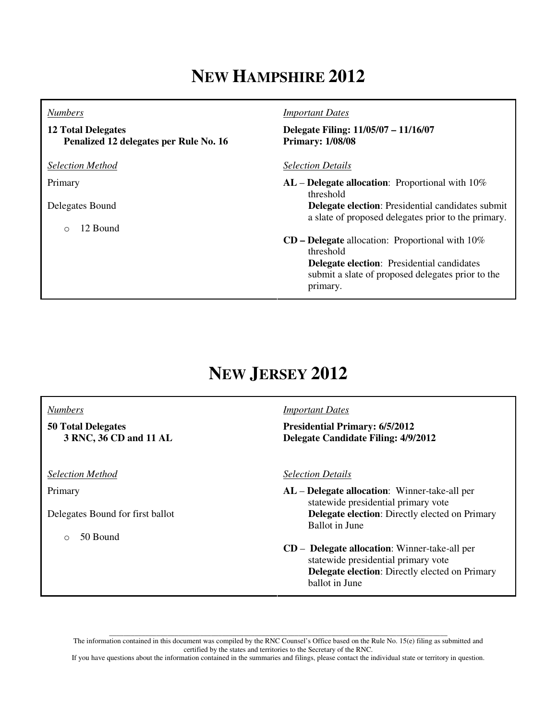# **NEW HAMPSHIRE 2012**

#### *Numbers*

**12 Total Delegates Penalized 12 delegates per Rule No. 16**

*Selection Method*

Primary

Delegates Bound

o 12 Bound

*Important Dates*

**Delegate Filing: 11/05/07 – 11/16/07 Primary: 1/08/08**

*Selection Details*

**AL** – **Delegate allocation**: Proportional with 10% threshold  **Delegate election**: Presidential candidates submit a slate of proposed delegates prior to the primary. **CD – Delegate** allocation: Proportional with 10% threshold

 **Delegate election**: Presidential candidates submit a slate of proposed delegates prior to the primary.

## **NEW JERSEY 2012**

#### *Numbers*

**50 Total Delegates 3 RNC, 36 CD and 11 AL**

*Selection Method*

Primary

Delegates Bound for first ballot

o 50 Bound

### *Important Dates*

**Presidential Primary: 6/5/2012 Delegate Candidate Filing: 4/9/2012** 

#### *Selection Details*

- **AL Delegate allocation**: Winner-take-all per statewide presidential primary vote  **Delegate election**: Directly elected on Primary Ballot in June
- **CD Delegate allocation**: Winner-take-all per statewide presidential primary vote  **Delegate election**: Directly elected on Primary ballot in June

\_\_\_\_\_\_\_\_\_\_\_\_\_\_\_\_\_\_\_\_\_\_\_\_\_\_\_\_\_\_\_\_\_\_\_\_\_\_\_\_\_\_\_\_\_\_\_\_\_\_\_\_\_\_\_\_\_\_\_\_\_\_\_\_\_\_\_\_\_\_\_\_\_\_\_\_\_\_\_\_\_\_\_\_\_\_\_\_\_\_\_\_\_ The information contained in this document was compiled by the RNC Counsel's Office based on the Rule No. 15(e) filing as submitted and certified by the states and territories to the Secretary of the RNC.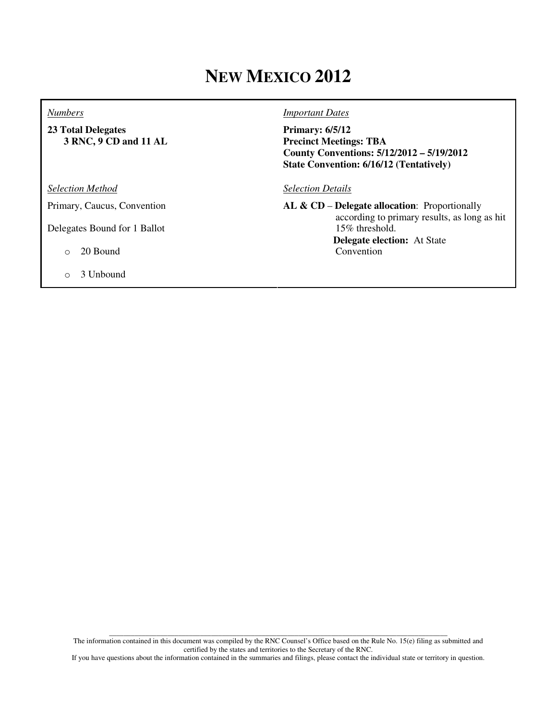# **NEW MEXICO 2012**

#### *Numbers*

**23 Total Delegates 3 RNC, 9 CD and 11 AL**

*Selection Method*

Primary, Caucus, Convention

Delegates Bound for 1 Ballot

### o 20 Bound

o 3 Unbound

### *Important Dates*

**Primary: 6/5/12 Precinct Meetings: TBA County Conventions: 5/12/2012 – 5/19/2012 State Convention: 6/16/12 (Tentatively)**

#### *Selection Details*

**AL & CD** – **Delegate allocation**: Proportionally according to primary results, as long as hit 15% threshold.  **Delegate election:** At State Convention

\_\_\_\_\_\_\_\_\_\_\_\_\_\_\_\_\_\_\_\_\_\_\_\_\_\_\_\_\_\_\_\_\_\_\_\_\_\_\_\_\_\_\_\_\_\_\_\_\_\_\_\_\_\_\_\_\_\_\_\_\_\_\_\_\_\_\_\_\_\_\_\_\_\_\_\_\_\_\_\_\_\_\_\_\_\_\_\_\_\_\_\_\_ The information contained in this document was compiled by the RNC Counsel's Office based on the Rule No. 15(e) filing as submitted and certified by the states and territories to the Secretary of the RNC.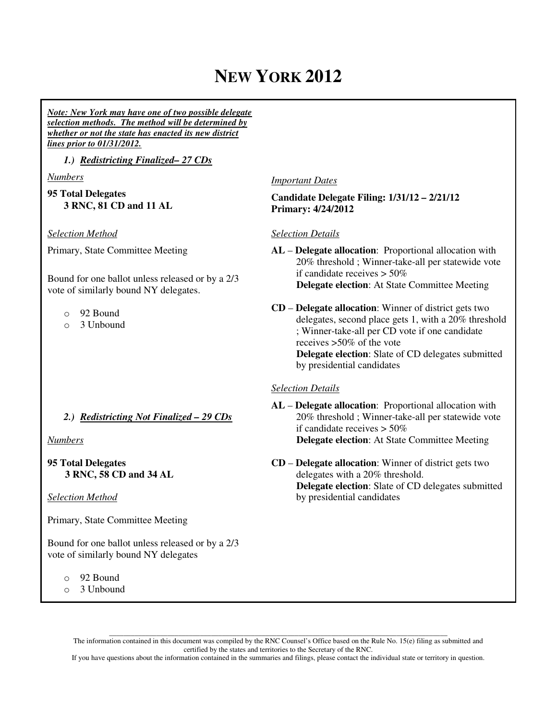# **NEW YORK 2012**

*Note: New York may have one of two possible delegate selection methods. The method will be determined by whether or not the state has enacted its new district lines prior to 01/31/2012.* 

*1.) Redistricting Finalized– 27 CDs* 

*Numbers*

**95 Total Delegates 3 RNC, 81 CD and 11 AL**

*Selection Method*

Primary, State Committee Meeting

Bound for one ballot unless released or by a 2/3 vote of similarly bound NY delegates.

- o 92 Bound
- o 3 Unbound

### *2.) Redistricting Not Finalized – 29 CDs*

*Numbers*

**95 Total Delegates 3 RNC, 58 CD and 34 AL** 

*Selection Method*

Primary, State Committee Meeting

Bound for one ballot unless released or by a 2/3 vote of similarly bound NY delegates

- o 92 Bound
- o 3 Unbound

*Important Dates*

**Candidate Delegate Filing: 1/31/12 – 2/21/12 Primary: 4/24/2012** 

### *Selection Details*

**AL** – **Delegate allocation**: Proportional allocation with 20% threshold ; Winner-take-all per statewide vote if candidate receives > 50%  **Delegate election**: At State Committee Meeting

**CD** – **Delegate allocation**: Winner of district gets two delegates, second place gets 1, with a 20% threshold ; Winner-take-all per CD vote if one candidate receives >50% of the vote  **Delegate election**: Slate of CD delegates submitted by presidential candidates

### *Selection Details*

**AL** – **Delegate allocation**: Proportional allocation with 20% threshold ; Winner-take-all per statewide vote if candidate receives > 50%  **Delegate election**: At State Committee Meeting

**CD** – **Delegate allocation**: Winner of district gets two delegates with a 20% threshold.  **Delegate election**: Slate of CD delegates submitted by presidential candidates

\_\_\_\_\_\_\_\_\_\_\_\_\_\_\_\_\_\_\_\_\_\_\_\_\_\_\_\_\_\_\_\_\_\_\_\_\_\_\_\_\_\_\_\_\_\_\_\_\_\_\_\_\_\_\_\_\_\_\_\_\_\_\_\_\_\_\_\_\_\_\_\_\_\_\_\_\_\_\_\_\_\_\_\_\_\_\_\_\_\_\_\_\_ The information contained in this document was compiled by the RNC Counsel's Office based on the Rule No. 15(e) filing as submitted and certified by the states and territories to the Secretary of the RNC.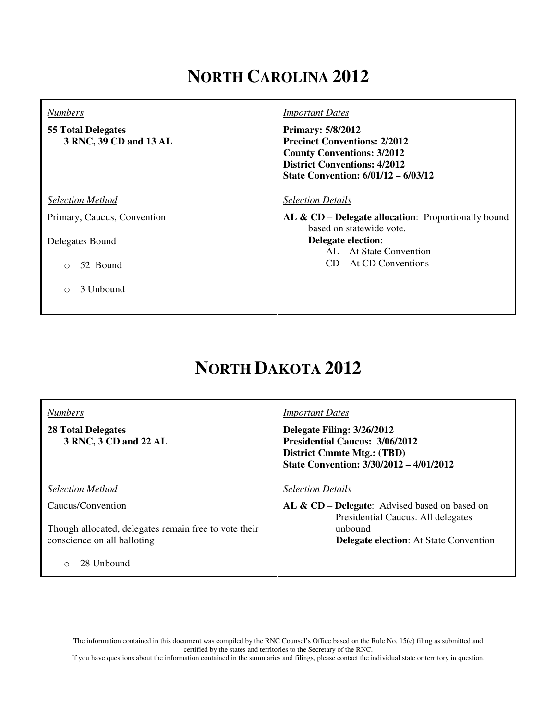# **NORTH CAROLINA 2012**

#### *Numbers*

**55 Total Delegates 3 RNC, 39 CD and 13 AL**

*Selection Method*

Primary, Caucus, Convention

Delegates Bound

- o 52 Bound
- o 3 Unbound

#### *Important Dates*

**Primary: 5/8/2012 Precinct Conventions: 2/2012 County Conventions: 3/2012 District Conventions: 4/2012 State Convention: 6/01/12 – 6/03/12**

#### *Selection Details*

**AL & CD** – **Delegate allocation**: Proportionally bound based on statewide vote. **Delegate election**: AL – At State Convention CD – At CD Conventions

## **NORTH DAKOTA 2012**

*Numbers*

**28 Total Delegates 3 RNC, 3 CD and 22 AL**

*Selection Method*

Caucus/Convention

Though allocated, delegates remain free to vote their conscience on all balloting

o 28 Unbound

#### *Important Dates*

**Delegate Filing: 3/26/2012 Presidential Caucus: 3/06/2012 District Cmmte Mtg.: (TBD) State Convention: 3/30/2012 – 4/01/2012**

#### *Selection Details*

**AL & CD** – **Delegate**: Advised based on based on Presidential Caucus. All delegates unbound  **Delegate election**: At State Convention

\_\_\_\_\_\_\_\_\_\_\_\_\_\_\_\_\_\_\_\_\_\_\_\_\_\_\_\_\_\_\_\_\_\_\_\_\_\_\_\_\_\_\_\_\_\_\_\_\_\_\_\_\_\_\_\_\_\_\_\_\_\_\_\_\_\_\_\_\_\_\_\_\_\_\_\_\_\_\_\_\_\_\_\_\_\_\_\_\_\_\_\_\_ The information contained in this document was compiled by the RNC Counsel's Office based on the Rule No. 15(e) filing as submitted and certified by the states and territories to the Secretary of the RNC.

If you have questions about the information contained in the summaries and filings, please contact the individual state or territory in question.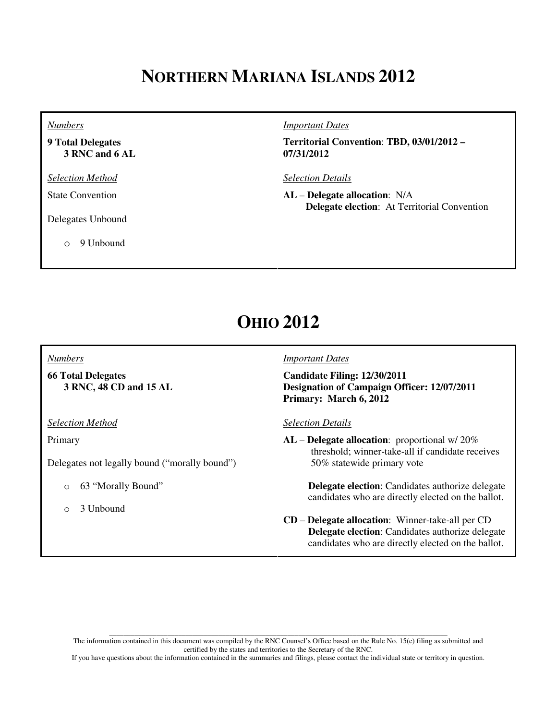# **NORTHERN MARIANA ISLANDS 2012**

*Numbers*

**9 Total Delegates 3 RNC and 6 AL**

*Selection Method*

State Convention

Delegates Unbound

o 9 Unbound

*Important Dates*

**Territorial Convention**: **TBD, 03/01/2012 – 07/31/2012**

*Selection Details*

**AL** – **Delegate allocation**: N/A  **Delegate election**: At Territorial Convention

## **OHIO 2012**

#### *Numbers*

**66 Total Delegates 3 RNC, 48 CD and 15 AL**

*Selection Method*

Primary

Delegates not legally bound ("morally bound")

- o 63 "Morally Bound"
- o 3 Unbound

### *Important Dates*

**Candidate Filing: 12/30/2011 Designation of Campaign Officer: 12/07/2011 Primary: March 6, 2012**

#### *Selection Details*

**AL** – **Delegate allocation**: proportional w/ 20% threshold; winner-take-all if candidate receives 50% statewide primary vote

> **Delegate election**: Candidates authorize delegate candidates who are directly elected on the ballot.

**CD** – **Delegate allocation**: Winner-take-all per CD  **Delegate election**: Candidates authorize delegate candidates who are directly elected on the ballot.

\_\_\_\_\_\_\_\_\_\_\_\_\_\_\_\_\_\_\_\_\_\_\_\_\_\_\_\_\_\_\_\_\_\_\_\_\_\_\_\_\_\_\_\_\_\_\_\_\_\_\_\_\_\_\_\_\_\_\_\_\_\_\_\_\_\_\_\_\_\_\_\_\_\_\_\_\_\_\_\_\_\_\_\_\_\_\_\_\_\_\_\_\_ The information contained in this document was compiled by the RNC Counsel's Office based on the Rule No. 15(e) filing as submitted and certified by the states and territories to the Secretary of the RNC.

If you have questions about the information contained in the summaries and filings, please contact the individual state or territory in question.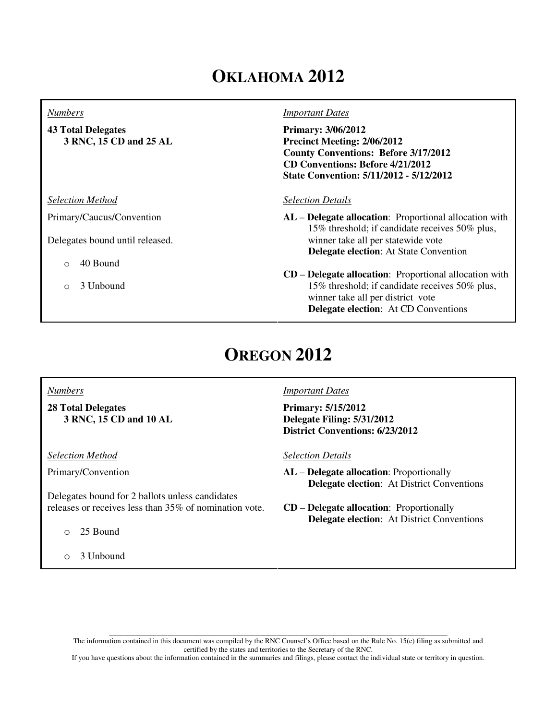# **OKLAHOMA 2012**

#### *Numbers*

**43 Total Delegates 3 RNC, 15 CD and 25 AL**

*Selection Method*

Primary/Caucus/Convention

Delegates bound until released.

- o 40 Bound
- o 3 Unbound

#### *Important Dates*

**Primary: 3/06/2012 Precinct Meeting: 2/06/2012 County Conventions: Before 3/17/2012 CD Conventions: Before 4/21/2012 State Convention: 5/11/2012 - 5/12/2012**

#### *Selection Details*

- **AL Delegate allocation**: Proportional allocation with 15% threshold; if candidate receives 50% plus, winner take all per statewide vote  **Delegate election**: At State Convention
- **CD Delegate allocation**: Proportional allocation with 15% threshold; if candidate receives 50% plus, winner take all per district vote  **Delegate election**: At CD Conventions

## **OREGON 2012**

#### *Numbers*

**28 Total Delegates 3 RNC, 15 CD and 10 AL**

*Selection Method*

Primary/Convention

Delegates bound for 2 ballots unless candidates releases or receives less than 35% of nomination vote.

- o 25 Bound
- o 3 Unbound

#### *Important Dates*

**Primary: 5/15/2012 Delegate Filing: 5/31/2012 District Conventions: 6/23/2012**

*Selection Details*

- **AL Delegate allocation**: Proportionally  **Delegate election**: At District Conventions
- **CD Delegate allocation**: Proportionally  **Delegate election**: At District Conventions

\_\_\_\_\_\_\_\_\_\_\_\_\_\_\_\_\_\_\_\_\_\_\_\_\_\_\_\_\_\_\_\_\_\_\_\_\_\_\_\_\_\_\_\_\_\_\_\_\_\_\_\_\_\_\_\_\_\_\_\_\_\_\_\_\_\_\_\_\_\_\_\_\_\_\_\_\_\_\_\_\_\_\_\_\_\_\_\_\_\_\_\_\_ The information contained in this document was compiled by the RNC Counsel's Office based on the Rule No. 15(e) filing as submitted and certified by the states and territories to the Secretary of the RNC.

If you have questions about the information contained in the summaries and filings, please contact the individual state or territory in question.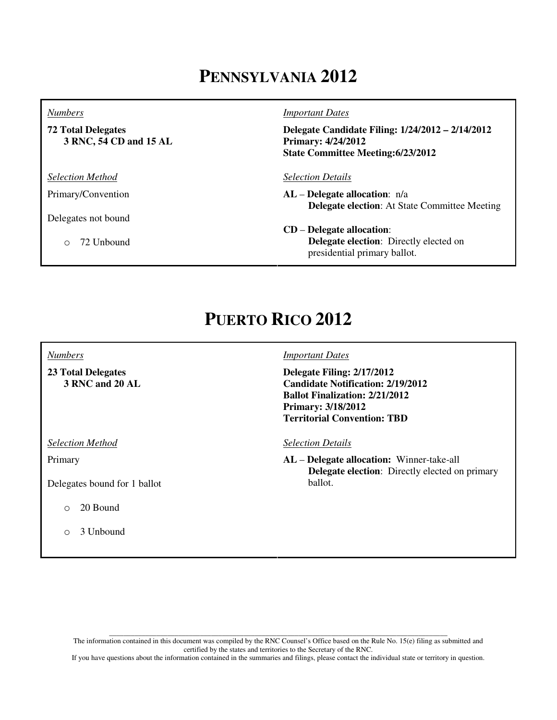# **PENNSYLVANIA 2012**

#### *Numbers*

**72 Total Delegates 3 RNC, 54 CD and 15 AL**

*Selection Method*

Primary/Convention

Delegates not bound

o 72 Unbound

#### *Important Dates*

**Delegate Candidate Filing: 1/24/2012 – 2/14/2012 Primary: 4/24/2012 State Committee Meeting:6/23/2012**

#### *Selection Details*

- **AL Delegate allocation**: n/a  **Delegate election**: At State Committee Meeting
- **CD Delegate allocation**:  **Delegate election**: Directly elected on presidential primary ballot.

## **PUERTO RICO 2012**

#### *Numbers*

**23 Total Delegates 3 RNC and 20 AL**

*Selection Method*

Primary

Delegates bound for 1 ballot

- o 20 Bound
- o 3 Unbound

#### *Important Dates*

**Delegate Filing: 2/17/2012 Candidate Notification: 2/19/2012 Ballot Finalization: 2/21/2012 Primary: 3/18/2012 Territorial Convention: TBD** 

*Selection Details*

**AL** – **Delegate allocation:** Winner-take-all  **Delegate election**: Directly elected on primary ballot.

\_\_\_\_\_\_\_\_\_\_\_\_\_\_\_\_\_\_\_\_\_\_\_\_\_\_\_\_\_\_\_\_\_\_\_\_\_\_\_\_\_\_\_\_\_\_\_\_\_\_\_\_\_\_\_\_\_\_\_\_\_\_\_\_\_\_\_\_\_\_\_\_\_\_\_\_\_\_\_\_\_\_\_\_\_\_\_\_\_\_\_\_\_ The information contained in this document was compiled by the RNC Counsel's Office based on the Rule No. 15(e) filing as submitted and certified by the states and territories to the Secretary of the RNC.

If you have questions about the information contained in the summaries and filings, please contact the individual state or territory in question.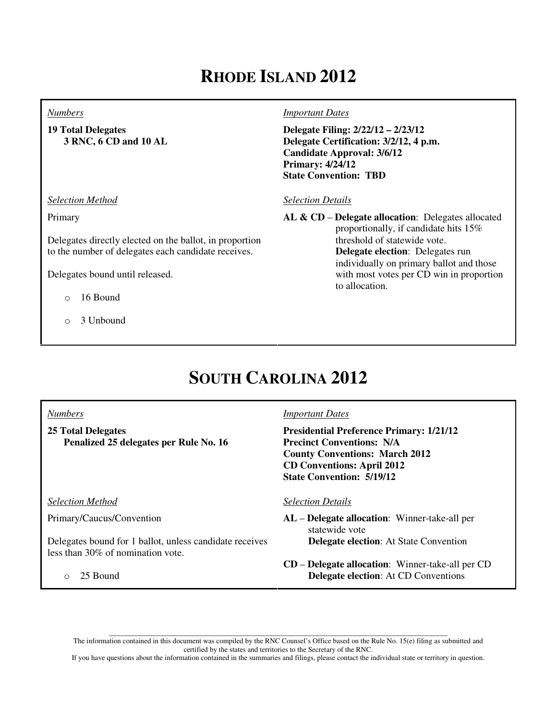# **RHODE ISLAND 2012**

#### *Numbers*

**19 Total Delegates 3 RNC, 6 CD and 10 AL**

*Selection Method*

Primary

Delegates directly elected on the ballot, in proportion to the number of delegates each candidate receives.

Delegates bound until released.

- $\circ$  16 Bound
- o 3 Unbound

### *Important Dates*

**Delegate Filing: 2/22/12 – 2/23/12 Delegate Certification: 3/2/12, 4 p.m. Candidate Approval: 3/6/12 Primary: 4/24/12 State Convention: TBD**

### *Selection Details*

**AL & CD** – **Delegate allocation**: Delegates allocated proportionally, if candidate hits 15% threshold of statewide vote. **Delegate election**: Delegates run individually on primary ballot and those with most votes per CD win in proportion to allocation.

# **SOUTH CAROLINA 2012**

*Numbers*

**25 Total Delegates Penalized 25 delegates per Rule No. 16**

*Selection Method*

Primary/Caucus/Convention

Delegates bound for 1 ballot, unless candidate receives less than 30% of nomination vote.

o 25 Bound

### *Important Dates*

**Presidential Preference Primary: 1/21/12 Precinct Conventions: N/A County Conventions: March 2012 CD Conventions: April 2012 State Convention: 5/19/12**

#### *Selection Details*

**AL** – **Delegate allocation**: Winner-take-all per statewide vote  **Delegate election**: At State Convention

**CD** – **Delegate allocation**: Winner-take-all per CD  **Delegate election**: At CD Conventions

\_\_\_\_\_\_\_\_\_\_\_\_\_\_\_\_\_\_\_\_\_\_\_\_\_\_\_\_\_\_\_\_\_\_\_\_\_\_\_\_\_\_\_\_\_\_\_\_\_\_\_\_\_\_\_\_\_\_\_\_\_\_\_\_\_\_\_\_\_\_\_\_\_\_\_\_\_\_\_\_\_\_\_\_\_\_\_\_\_\_\_\_\_ The information contained in this document was compiled by the RNC Counsel's Office based on the Rule No. 15(e) filing as submitted and certified by the states and territories to the Secretary of the RNC.

If you have questions about the information contained in the summaries and filings, please contact the individual state or territory in question.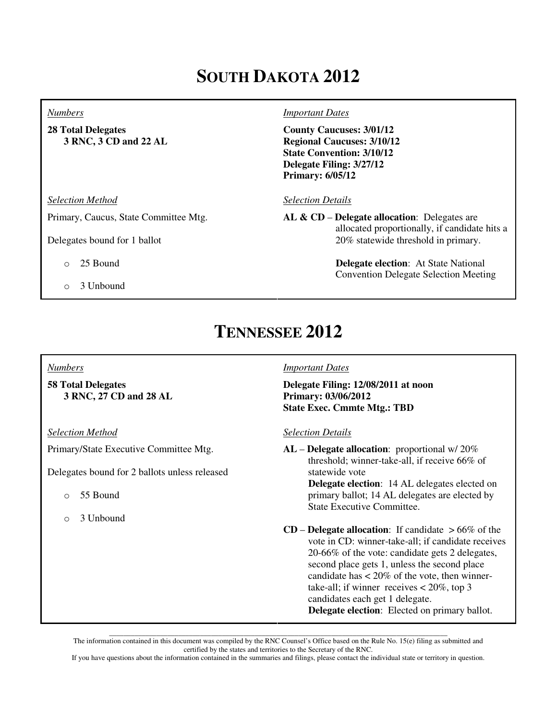# **SOUTH DAKOTA 2012**

#### *Numbers*

**28 Total Delegates 3 RNC, 3 CD and 22 AL**

*Selection Method*

Primary, Caucus, State Committee Mtg.

Delegates bound for 1 ballot

- o 25 Bound
- o 3 Unbound

#### *Important Dates*

**County Caucuses: 3/01/12 Regional Caucuses: 3/10/12 State Convention: 3/10/12 Delegate Filing: 3/27/12 Primary: 6/05/12**

*Selection Details*

**AL & CD** – **Delegate allocation**: Delegates are allocated proportionally, if candidate hits a 20% statewide threshold in primary.

> **Delegate election**: At State National Convention Delegate Selection Meeting

## **TENNESSEE 2012**

#### *Numbers*

**58 Total Delegates 3 RNC, 27 CD and 28 AL**

*Selection Method*

Primary/State Executive Committee Mtg.

Delegates bound for 2 ballots unless released

- o 55 Bound
- o 3 Unbound

#### *Important Dates*

**Delegate Filing: 12/08/2011 at noon Primary: 03/06/2012 State Exec. Cmmte Mtg.: TBD**

#### *Selection Details*

**AL** – **Delegate allocation**: proportional w/ 20% threshold; winner-take-all, if receive 66% of statewide vote  **Delegate election**: 14 AL delegates elected on primary ballot; 14 AL delegates are elected by State Executive Committee.

**CD** – **Delegate allocation**: If candidate  $>66\%$  of the vote in CD: winner-take-all; if candidate receives 20-66% of the vote: candidate gets 2 delegates, second place gets 1, unless the second place candidate has  $\lt$  20% of the vote, then winnertake-all; if winner receives  $< 20\%$ , top 3 candidates each get 1 delegate.  **Delegate election**: Elected on primary ballot.

\_\_\_\_\_\_\_\_\_\_\_\_\_\_\_\_\_\_\_\_\_\_\_\_\_\_\_\_\_\_\_\_\_\_\_\_\_\_\_\_\_\_\_\_\_\_\_\_\_\_\_\_\_\_\_\_\_\_\_\_\_\_\_\_\_\_\_\_\_\_\_\_\_\_\_\_\_\_\_\_\_\_\_\_\_\_\_\_\_\_\_\_\_ The information contained in this document was compiled by the RNC Counsel's Office based on the Rule No. 15(e) filing as submitted and certified by the states and territories to the Secretary of the RNC.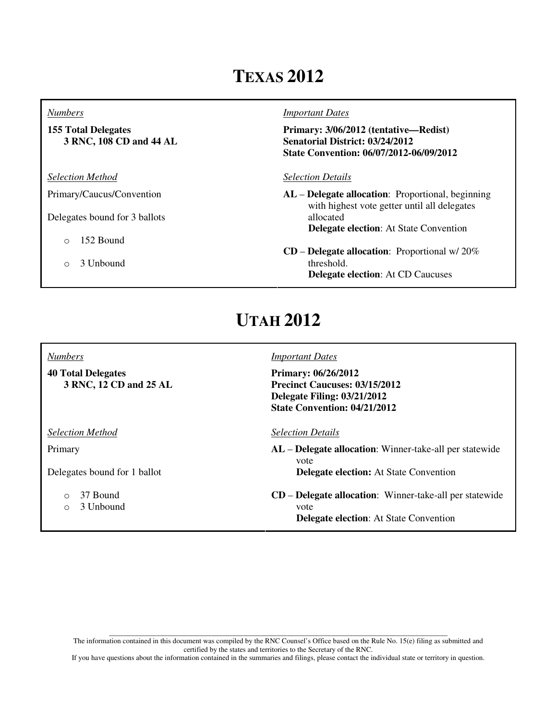# **TEXAS 2012**

#### *Numbers*

**155 Total Delegates 3 RNC, 108 CD and 44 AL**

*Selection Method*

Primary/Caucus/Convention

Delegates bound for 3 ballots

- o 152 Bound
- o 3 Unbound

#### *Important Dates*

**Primary: 3/06/2012 (tentative—Redist) Senatorial District: 03/24/2012 State Convention: 06/07/2012-06/09/2012**

### *Selection Details*

**AL** – **Delegate allocation**: Proportional, beginning with highest vote getter until all delegates allocated  **Delegate election**: At State Convention

**CD** – **Delegate allocation**: Proportional w/ 20% threshold.  **Delegate election**: At CD Caucuses

# **UTAH 2012**

#### *Numbers*

**40 Total Delegates 3 RNC, 12 CD and 25 AL**

*Selection Method*

Primary

Delegates bound for 1 ballot

- o 37 Bound
- o 3 Unbound

### *Important Dates*

**Primary: 06/26/2012 Precinct Caucuses: 03/15/2012 Delegate Filing: 03/21/2012 State Convention: 04/21/2012**

#### *Selection Details*

- **AL Delegate allocation**: Winner-take-all per statewide vote  **Delegate election:** At State Convention
- **CD Delegate allocation**: Winner-take-all per statewide vote  **Delegate election**: At State Convention

\_\_\_\_\_\_\_\_\_\_\_\_\_\_\_\_\_\_\_\_\_\_\_\_\_\_\_\_\_\_\_\_\_\_\_\_\_\_\_\_\_\_\_\_\_\_\_\_\_\_\_\_\_\_\_\_\_\_\_\_\_\_\_\_\_\_\_\_\_\_\_\_\_\_\_\_\_\_\_\_\_\_\_\_\_\_\_\_\_\_\_\_\_ The information contained in this document was compiled by the RNC Counsel's Office based on the Rule No. 15(e) filing as submitted and certified by the states and territories to the Secretary of the RNC.

If you have questions about the information contained in the summaries and filings, please contact the individual state or territory in question.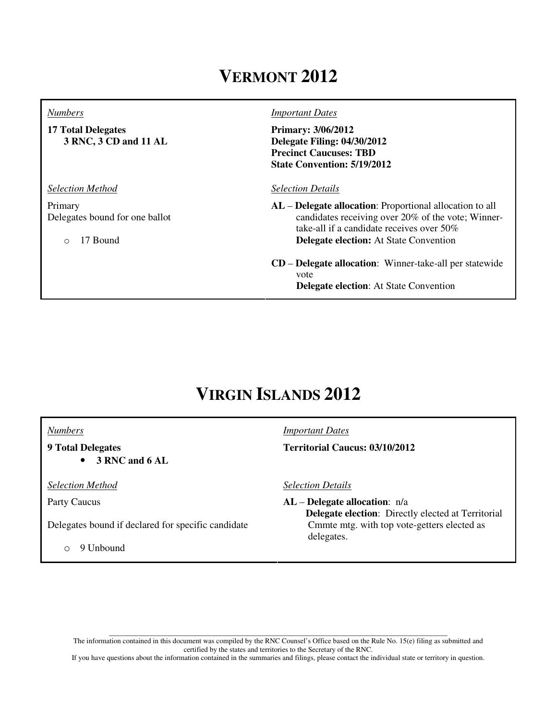## **VERMONT 2012**

#### *Numbers*

**17 Total Delegates 3 RNC, 3 CD and 11 AL**

*Selection Method*

Primary Delegates bound for one ballot

o 17 Bound

#### *Important Dates*

**Primary: 3/06/2012 Delegate Filing: 04/30/2012 Precinct Caucuses: TBD State Convention: 5/19/2012**

#### *Selection Details*

**AL** – **Delegate allocation**: Proportional allocation to all candidates receiving over 20% of the vote; Winnertake-all if a candidate receives over 50% **Delegate election:** At State Convention

### **CD** – **Delegate allocation**: Winner-take-all per statewide vote  **Delegate election**: At State Convention

## **VIRGIN ISLANDS 2012**

*Numbers*

### **9 Total Delegates**

• **3 RNC and 6 AL**

*Selection Method*

Party Caucus

Delegates bound if declared for specific candidate

o 9 Unbound

*Important Dates* **Territorial Caucus: 03/10/2012** 

*Selection Details*

**AL** – **Delegate allocation**: n/a  **Delegate election**: Directly elected at Territorial Cmmte mtg. with top vote-getters elected as delegates.

\_\_\_\_\_\_\_\_\_\_\_\_\_\_\_\_\_\_\_\_\_\_\_\_\_\_\_\_\_\_\_\_\_\_\_\_\_\_\_\_\_\_\_\_\_\_\_\_\_\_\_\_\_\_\_\_\_\_\_\_\_\_\_\_\_\_\_\_\_\_\_\_\_\_\_\_\_\_\_\_\_\_\_\_\_\_\_\_\_\_\_\_\_ The information contained in this document was compiled by the RNC Counsel's Office based on the Rule No. 15(e) filing as submitted and certified by the states and territories to the Secretary of the RNC.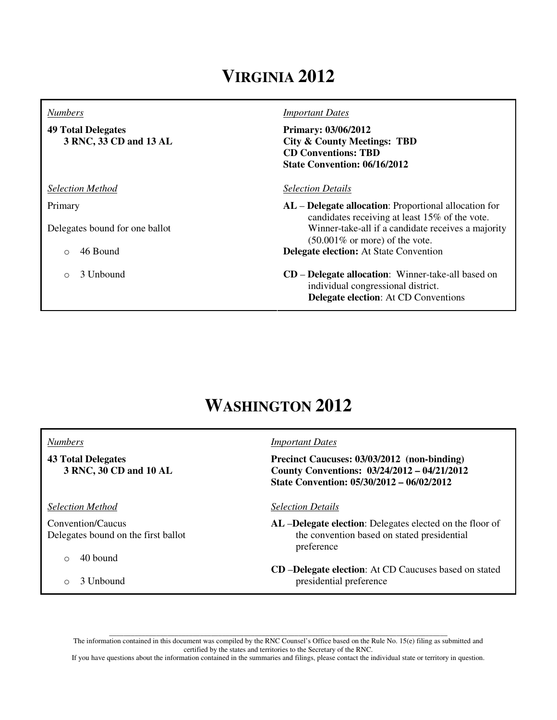# **VIRGINIA 2012**

#### *Numbers*

**49 Total Delegates 3 RNC, 33 CD and 13 AL**

*Selection Method*

Primary

Delegates bound for one ballot

- o 46 Bound
- o 3 Unbound

#### *Important Dates*

**Primary: 03/06/2012 City & County Meetings: TBD CD Conventions: TBD State Convention: 06/16/2012**

#### *Selection Details*

**AL** – **Delegate allocation**: Proportional allocation for candidates receiving at least 15% of the vote. Winner-take-all if a candidate receives a majority (50.001% or more) of the vote. **Delegate election:** At State Convention

**CD** – **Delegate allocation**: Winner-take-all based on individual congressional district.  **Delegate election**: At CD Conventions

## **WASHINGTON 2012**

#### *Numbers* **43 Total Delegates 3 RNC, 30 CD and 10 AL** *Important Dates* **Precinct Caucuses: 03/03/2012 (non-binding) County Conventions: 03/24/2012 – 04/21/2012 State Convention: 05/30/2012 – 06/02/2012** *Selection Method* Convention/Caucus Delegates bound on the first ballot  $\circ$  40 bound *Selection Details* **AL** –**Delegate election**: Delegates elected on the floor of the convention based on stated presidential preference

o 3 Unbound

- 
- **CD** –**Delegate election**: At CD Caucuses based on stated presidential preference

\_\_\_\_\_\_\_\_\_\_\_\_\_\_\_\_\_\_\_\_\_\_\_\_\_\_\_\_\_\_\_\_\_\_\_\_\_\_\_\_\_\_\_\_\_\_\_\_\_\_\_\_\_\_\_\_\_\_\_\_\_\_\_\_\_\_\_\_\_\_\_\_\_\_\_\_\_\_\_\_\_\_\_\_\_\_\_\_\_\_\_\_\_ The information contained in this document was compiled by the RNC Counsel's Office based on the Rule No. 15(e) filing as submitted and certified by the states and territories to the Secretary of the RNC.

If you have questions about the information contained in the summaries and filings, please contact the individual state or territory in question.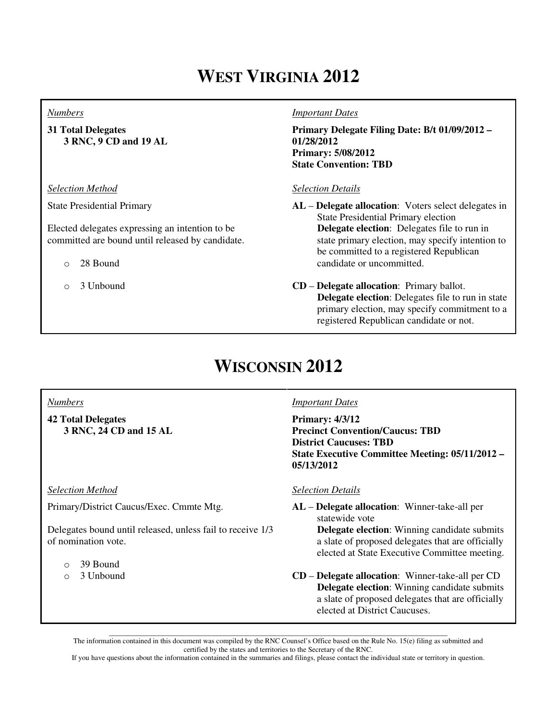# **WEST VIRGINIA 2012**

#### *Numbers*

**31 Total Delegates 3 RNC, 9 CD and 19 AL**

*Selection Method*

State Presidential Primary

Elected delegates expressing an intention to be committed are bound until released by candidate.

- o 28 Bound
- o 3 Unbound

### *Important Dates*

**Primary Delegate Filing Date: B/t 01/09/2012 – 01/28/2012 Primary: 5/08/2012 State Convention: TBD**

### *Selection Details*

**AL** – **Delegate allocation**: Voters select delegates in State Presidential Primary election  **Delegate election**: Delegates file to run in state primary election, may specify intention to be committed to a registered Republican candidate or uncommitted.

**CD** – **Delegate allocation**: Primary ballot.  **Delegate election**: Delegates file to run in state primary election, may specify commitment to a registered Republican candidate or not.

# **WISCONSIN 2012**

### *Numbers*

**42 Total Delegates 3 RNC, 24 CD and 15 AL**

*Selection Method*

Primary/District Caucus/Exec. Cmmte Mtg.

Delegates bound until released, unless fail to receive 1/3 of nomination vote.

- $\circ$  39 Bound
- o 3 Unbound

### *Important Dates*

**Primary: 4/3/12 Precinct Convention/Caucus: TBD District Caucuses: TBD State Executive Committee Meeting: 05/11/2012 – 05/13/2012**

### *Selection Details*

**AL** – **Delegate allocation**: Winner-take-all per statewide vote

> **Delegate election**: Winning candidate submits a slate of proposed delegates that are officially elected at State Executive Committee meeting.

**CD** – **Delegate allocation**: Winner-take-all per CD  **Delegate election**: Winning candidate submits a slate of proposed delegates that are officially elected at District Caucuses.

\_\_\_\_\_\_\_\_\_\_\_\_\_\_\_\_\_\_\_\_\_\_\_\_\_\_\_\_\_\_\_\_\_\_\_\_\_\_\_\_\_\_\_\_\_\_\_\_\_\_\_\_\_\_\_\_\_\_\_\_\_\_\_\_\_\_\_\_\_\_\_\_\_\_\_\_\_\_\_\_\_\_\_\_\_\_\_\_\_\_\_\_\_ The information contained in this document was compiled by the RNC Counsel's Office based on the Rule No. 15(e) filing as submitted and certified by the states and territories to the Secretary of the RNC.